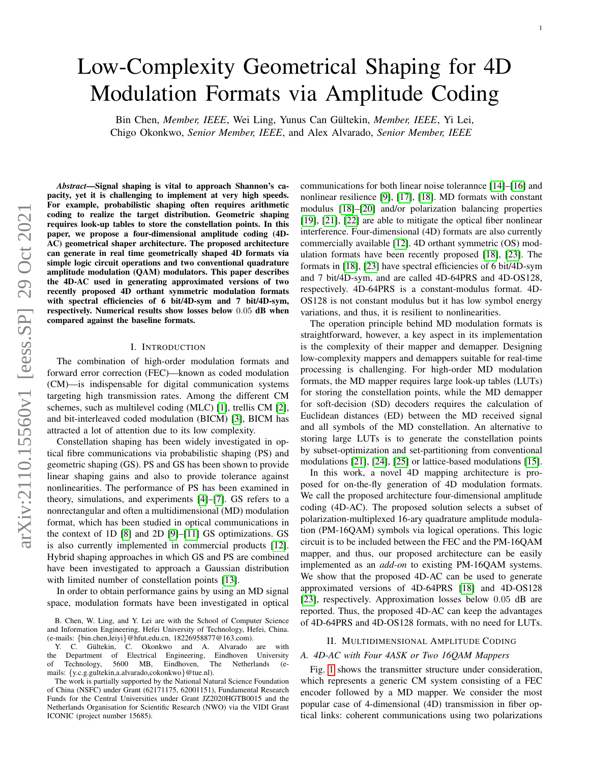# Low-Complexity Geometrical Shaping for 4D Modulation Formats via Amplitude Coding

Bin Chen, *Member, IEEE*, Wei Ling, Yunus Can Gültekin, *Member, IEEE*, Yi Lei, Chigo Okonkwo, *Senior Member, IEEE*, and Alex Alvarado, *Senior Member, IEEE*

*Abstract*—Signal shaping is vital to approach Shannon's capacity, yet it is challenging to implement at very high speeds. For example, probabilistic shaping often requires arithmetic coding to realize the target distribution. Geometric shaping requires look-up tables to store the constellation points. In this paper, we propose a four-dimensional amplitude coding (4D-AC) geometrical shaper architecture. The proposed architecture can generate in real time geometrically shaped 4D formats via simple logic circuit operations and two conventional quadrature amplitude modulation (QAM) modulators. This paper describes the 4D-AC used in generating approximated versions of two recently proposed 4D orthant symmetric modulation formats with spectral efficiencies of 6 bit/4D-sym and 7 bit/4D-sym, respectively. Numerical results show losses below 0.05 dB when compared against the baseline formats.

### I. INTRODUCTION

The combination of high-order modulation formats and forward error correction (FEC)—known as coded modulation (CM)—is indispensable for digital communication systems targeting high transmission rates. Among the different CM schemes, such as multilevel coding (MLC) [\[1\]](#page-3-0), trellis CM [\[2\]](#page-3-1), and bit-interleaved coded modulation (BICM) [\[3\]](#page-3-2), BICM has attracted a lot of attention due to its low complexity.

Constellation shaping has been widely investigated in optical fibre communications via probabilistic shaping (PS) and geometric shaping (GS). PS and GS has been shown to provide linear shaping gains and also to provide tolerance against nonlinearities. The performance of PS has been examined in theory, simulations, and experiments [\[4\]](#page-3-3)–[\[7\]](#page-3-4). GS refers to a nonrectangular and often a multidimensional (MD) modulation format, which has been studied in optical communications in the context of 1D [\[8\]](#page-3-5) and 2D [\[9\]](#page-3-6)–[\[11\]](#page-3-7) GS optimizations. GS is also currently implemented in commercial products [\[12\]](#page-3-8). Hybrid shaping approaches in which GS and PS are combined have been investigated to approach a Gaussian distribution with limited number of constellation points [\[13\]](#page-3-9).

In order to obtain performance gains by using an MD signal space, modulation formats have been investigated in optical

communications for both linear noise tolerannce [\[14\]](#page-3-10)–[\[16\]](#page-3-11) and nonlinear resilience [\[9\]](#page-3-6), [\[17\]](#page-3-12), [\[18\]](#page-3-13). MD formats with constant modulus [\[18\]](#page-3-13)–[\[20\]](#page-3-14) and/or polarization balancing properties [\[19\]](#page-3-15), [\[21\]](#page-3-16), [\[22\]](#page-3-17) are able to mitigate the optical fiber nonlinear interference. Four-dimensional (4D) formats are also currently commercially available [\[12\]](#page-3-8). 4D orthant symmetric (OS) modulation formats have been recently proposed [\[18\]](#page-3-13), [\[23\]](#page-3-18). The formats in [\[18\]](#page-3-13), [\[23\]](#page-3-18) have spectral efficiencies of 6 bit/4D-sym and 7 bit/4D-sym, and are called 4D-64PRS and 4D-OS128, respectively. 4D-64PRS is a constant-modulus format. 4D-OS128 is not constant modulus but it has low symbol energy variations, and thus, it is resilient to nonlinearities.

The operation principle behind MD modulation formats is straightforward, however, a key aspect in its implementation is the complexity of their mapper and demapper. Designing low-complexity mappers and demappers suitable for real-time processing is challenging. For high-order MD modulation formats, the MD mapper requires large look-up tables (LUTs) for storing the constellation points, while the MD demapper for soft-decision (SD) decoders requires the calculation of Euclidean distances (ED) between the MD received signal and all symbols of the MD constellation. An alternative to storing large LUTs is to generate the constellation points by subset-optimization and set-partitioning from conventional modulations [\[21\]](#page-3-16), [\[24\]](#page-3-19), [\[25\]](#page-3-20) or lattice-based modulations [\[15\]](#page-3-21).

In this work, a novel 4D mapping architecture is proposed for on-the-fly generation of 4D modulation formats. We call the proposed architecture four-dimensional amplitude coding (4D-AC). The proposed solution selects a subset of polarization-multiplexed 16-ary quadrature amplitude modulation (PM-16QAM) symbols via logical operations. This logic circuit is to be included between the FEC and the PM-16QAM mapper, and thus, our proposed architecture can be easily implemented as an *add-on* to existing PM-16QAM systems. We show that the proposed 4D-AC can be used to generate approximated versions of 4D-64PRS [\[18\]](#page-3-13) and 4D-OS128 [\[23\]](#page-3-18), respectively. Approximation losses below 0.05 dB are reported. Thus, the proposed 4D-AC can keep the advantages of 4D-64PRS and 4D-OS128 formats, with no need for LUTs.

## II. MULTIDIMENSIONAL AMPLITUDE CODING

## *A. 4D-AC with Four 4ASK or Two 16QAM Mappers*

Fig. [1](#page-1-0) shows the transmitter structure under consideration, which represents a generic CM system consisting of a FEC encoder followed by a MD mapper. We consider the most popular case of 4-dimensional (4D) transmission in fiber optical links: coherent communications using two polarizations

B. Chen, W. Ling, and Y. Lei are with the School of Computer Science and Information Engineering, Hefei University of Technology, Hefei, China. (e-mails: {bin.chen,leiyi}@hfut.edu.cn, 18226958877@163.com).

Y. C. Gültekin, C. Okonkwo and A. Alvarado are with the Department of Electrical Engineering, Eindhoven University of Technology, 5600 MB, Eindhoven, The Netherlands (emails: {y.c.g.gultekin,a.alvarado,cokonkwo}@tue.nl).

The work is partially supported by the National Natural Science Foundation of China (NSFC) under Grant (62171175, 62001151), Fundamental Research Funds for the Central Universities under Grant JZ2020HGTB0015 and the Netherlands Organisation for Scientific Research (NWO) via the VIDI Grant ICONIC (project number 15685).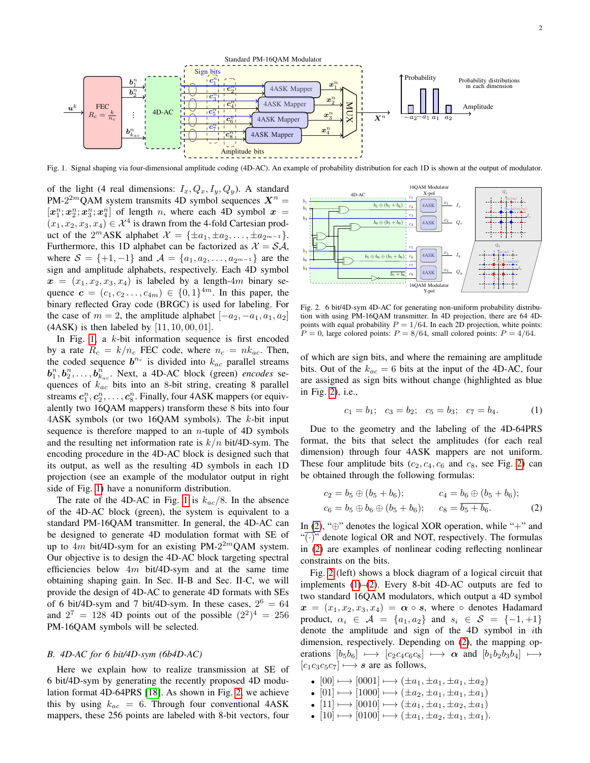

<span id="page-1-0"></span>Fig. 1. Signal shaping via four-dimensional amplitude coding (4D-AC). An example of probability distribution for each 1D is shown at the output of modulator.

of the light (4 real dimensions:  $I_x, Q_x, I_y, Q_y$ ). A standard PM-2<sup>2*m*</sup>QAM system transmits 4D symbol sequences  $X^n =$  $[x_1^n; x_2^n; x_3^n; x_4^n]$  of length n, where each 4D symbol  $x =$  $(x_1, x_2, x_3, x_4) \in \mathcal{X}^4$  is drawn from the 4-fold Cartesian product of the  $2^m$ ASK alphabet  $\mathcal{X} = {\pm a_1, \pm a_2, \ldots, \pm a_{2^{m-1}}}.$ Furthermore, this 1D alphabet can be factorized as  $X = S \mathcal{A}$ , where  $S = \{+1, -1\}$  and  $\mathcal{A} = \{a_1, a_2, \dots, a_{2^{m-1}}\}$  are the sign and amplitude alphabets, respectively. Each 4D symbol  $x = (x_1, x_2, x_3, x_4)$  is labeled by a length-4m binary sequence  $\mathbf{c} = (c_1, c_2 \dots, c_{4m}) \in \{0, 1\}^{4m}$ . In this paper, the binary reflected Gray code (BRGC) is used for labeling. For the case of  $m = 2$ , the amplitude alphabet  $[-a_2, -a_1, a_1, a_2]$  $(4ASK)$  is then labeled by  $[11, 10, 00, 01]$ .

In Fig. [1,](#page-1-0) a  $k$ -bit information sequence is first encoded by a rate  $R_c = k/n_c$  FEC code, where  $n_c = nk_{ac}$ . Then, the coded sequence  $b^{n_c}$  is divided into  $k_{ac}$  parallel streams  $\boldsymbol{b}_1^n, \boldsymbol{b}_2^n, \ldots, \boldsymbol{b}_{k_{ac}}^n$ . Next, a 4D-AC block (green) *encodes* sequences of  $k_{ac}$  bits into an 8-bit string, creating 8 parallel streams  $c_1^n, c_2^n, \ldots, c_8^n$ . Finally, four 4ASK mappers (or equivalently two 16QAM mappers) transform these 8 bits into four  $4ASK$  symbols (or two 16QAM symbols). The k-bit input sequence is therefore mapped to an *n*-tuple of 4D symbols and the resulting net information rate is  $k/n$  bit/4D-sym. The encoding procedure in the 4D-AC block is designed such that its output, as well as the resulting 4D symbols in each 1D projection (see an example of the modulator output in right side of Fig. [1\)](#page-1-0) have a nonuniform distribution.

The rate of the 4D-AC in Fig. [1](#page-1-0) is  $k_{ac}/8$ . In the absence of the 4D-AC block (green), the system is equivalent to a standard PM-16QAM transmitter. In general, the 4D-AC can be designed to generate 4D modulation format with SE of up to  $4m$  bit/4D-sym for an existing PM-2<sup>2m</sup>QAM system. Our objective is to design the 4D-AC block targeting spectral efficiencies below  $4m$  bit/4D-sym and at the same time obtaining shaping gain. In Sec. II-B and Sec. II-C, we will provide the design of 4D-AC to generate 4D formats with SEs of 6 bit/4D-sym and 7 bit/4D-sym. In these cases,  $2^6 = 64$ and  $2^7 = 128$  4D points out of the possible  $(2^2)^4 = 256$ PM-16QAM symbols will be selected.

### *B. 4D-AC for 6 bit/4D-sym (6b4D-AC)*

Here we explain how to realize transmission at SE of 6 bit/4D-sym by generating the recently proposed 4D modulation format 4D-64PRS [\[18\]](#page-3-13). As shown in Fig. [2,](#page-1-1) we achieve this by using  $k_{ac} = 6$ . Through four conventional 4ASK mappers, these 256 points are labeled with 8-bit vectors, four



<span id="page-1-1"></span>Fig. 2. 6 bit/4D-sym 4D-AC for generating non-uniform probability distribution with using PM-16QAM transmitter. In 4D projection, there are 64 4Dpoints with equal probability  $P = 1/64$ . In each 2D projection, white points:  $P = 0$ , large colored points:  $P = 8/64$ , small colored points:  $P = 4/64$ .

of which are sign bits, and where the remaining are amplitude bits. Out of the  $k_{ac} = 6$  bits at the input of the 4D-AC, four are assigned as sign bits without change (highlighted as blue in Fig. [2\)](#page-1-1), i.e.,

<span id="page-1-3"></span><span id="page-1-2"></span>
$$
c_1 = b_1; \quad c_3 = b_2; \quad c_5 = b_3; \quad c_7 = b_4. \tag{1}
$$

Due to the geometry and the labeling of the 4D-64PRS format, the bits that select the amplitudes (for each real dimension) through four 4ASK mappers are not uniform. These four amplitude bits  $(c_2, c_4, c_6 \text{ and } c_8 \text{), see Fig. 2) can$  $(c_2, c_4, c_6 \text{ and } c_8 \text{), see Fig. 2) can$  $(c_2, c_4, c_6 \text{ and } c_8 \text{), see Fig. 2) can$ be obtained through the following formulas:

$$
c_2 = b_5 \oplus (b_5 + b_6); \qquad c_4 = b_6 \oplus (b_5 + b_6);
$$
  
\n
$$
c_6 = b_5 \oplus b_6 \oplus (b_5 + b_6); \qquad c_8 = \overline{b_5 + b_6}.
$$
 (2)

In  $(2)$ , " $\oplus$ " denotes the logical XOR operation, while "+" and " $(\cdot)$ " denote logical OR and NOT, respectively. The formulas in [\(2\)](#page-1-2) are examples of nonlinear coding reflecting nonlinear constraints on the bits.

Fig. [2](#page-1-1) (left) shows a block diagram of a logical circuit that implements [\(1\)](#page-1-3)–[\(2\)](#page-1-2). Every 8-bit 4D-AC outputs are fed to two standard 16QAM modulators, which output a 4D symbol  $x = (x_1, x_2, x_3, x_4) = \alpha \circ s$ , where  $\circ$  denotes Hadamard product,  $\alpha_i \in \mathcal{A} = \{a_1, a_2\}$  and  $s_i \in \mathcal{S} = \{-1, +1\}$ denote the amplitude and sign of the 4D symbol in ith dimension, respectively. Depending on [\(2\)](#page-1-2), the mapping operations  $[b_5b_6] \longmapsto [c_2c_4c_6c_8] \longmapsto \alpha$  and  $[b_1b_2b_3b_4] \longmapsto$  $[c_1c_3c_5c_7] \rightarrow s$  are as follows,

- $[00] \mapsto [0001] \mapsto (\pm a_1, \pm a_1, \pm a_1, \pm a_2)$
- $[01] \mapsto [1000] \mapsto (\pm a_2, \pm a_1, \pm a_1, \pm a_1)$
- $[11] \mapsto [0010] \mapsto (\pm a_1, \pm a_1, \pm a_2, \pm a_1)$
- $[10] \mapsto [0100] \mapsto (\pm a_1, \pm a_2, \pm a_1, \pm a_1).$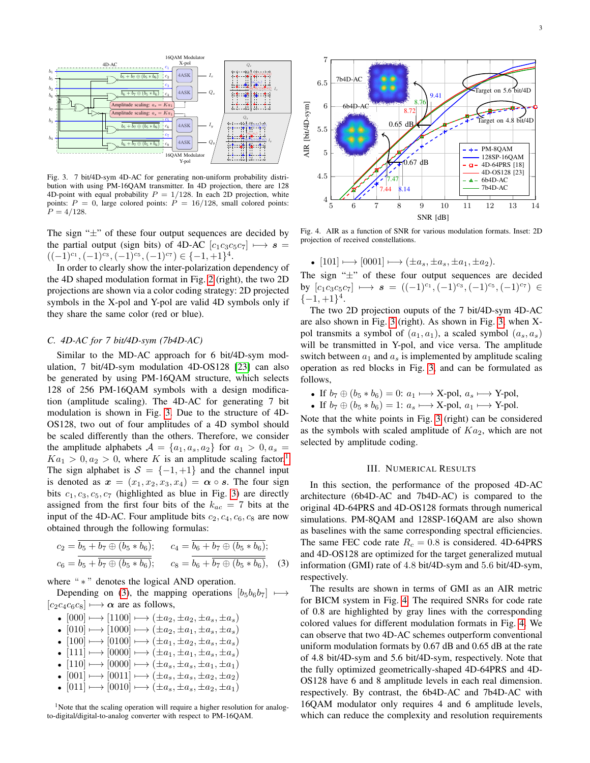

<span id="page-2-0"></span>Fig. 3. 7 bit/4D-sym 4D-AC for generating non-uniform probability distribution with using PM-16QAM transmitter. In 4D projection, there are 128 4D-point with equal probability  $P = 1/128$ . In each 2D projection, white points:  $P = 0$ , large colored points:  $P = 16/128$ , small colored points:  $P = 4/128$ .

The sign " $\pm$ " of these four output sequences are decided by the partial output (sign bits) of 4D-AC  $[c_1c_3c_5c_7] \mapsto s =$  $((-1)^{c_1}, (-1)^{c_3}, (-1)^{c_5}, (-1)^{c_7}) \in \{-1, +1\}^4.$ 

In order to clearly show the inter-polarization dependency of the 4D shaped modulation format in Fig. [2](#page-1-1) (right), the two 2D projections are shown via a color coding strategy: 2D projected symbols in the X-pol and Y-pol are valid 4D symbols only if they share the same color (red or blue).

## *C. 4D-AC for 7 bit/4D-sym (7b4D-AC)*

Similar to the MD-AC approach for 6 bit/4D-sym modulation, 7 bit/4D-sym modulation 4D-OS128 [\[23\]](#page-3-18) can also be generated by using PM-16QAM structure, which selects 128 of 256 PM-16QAM symbols with a design modification (amplitude scaling). The 4D-AC for generating 7 bit modulation is shown in Fig. [3.](#page-2-0) Due to the structure of 4D-OS128, two out of four amplitudes of a 4D symbol should be scaled differently than the others. Therefore, we consider the amplitude alphabets  $A = \{a_1, a_s, a_2\}$  for  $a_1 > 0, a_s =$  $Ka_1 > 0, a_2 > 0$  $Ka_1 > 0, a_2 > 0$  $Ka_1 > 0, a_2 > 0$ , where K is an amplitude scaling factor.<sup>1</sup> The sign alphabet is  $S = \{-1, +1\}$  and the channel input is denoted as  $x = (x_1, x_2, x_3, x_4) = \alpha \circ s$ . The four sign bits  $c_1, c_3, c_5, c_7$  (highlighted as blue in Fig. [3\)](#page-2-0) are directly assigned from the first four bits of the  $k_{ac} = 7$  bits at the input of the 4D-AC. Four amplitude bits  $c_2, c_4, c_6, c_8$  are now obtained through the following formulas:

$$
c_2 = \overline{b_5 + b_7 \oplus (b_5 * b_6)}; \qquad c_4 = \overline{b_6 + b_7 \oplus (b_5 * b_6)}; c_6 = \overline{b_5 + b_7 \oplus (b_5 * b_6)}; \qquad c_8 = \overline{b_6 + b_7 \oplus (b_5 * b_6)}; \qquad (3)
$$

where " \* " denotes the logical AND operation.

Depending on [\(3\)](#page-2-2), the mapping operations  $[b_5b_6b_7] \longmapsto$  $[c_2c_4c_6c_8] \mapsto \alpha$  are as follows,

- $[000] \mapsto [1100] \mapsto (\pm a_2, \pm a_2, \pm a_s, \pm a_s)$
- $[010] \rightarrow [1000] \rightarrow (\pm a_2, \pm a_1, \pm a_s, \pm a_s)$
- $[100] \mapsto [0100] \mapsto (\pm a_1, \pm a_2, \pm a_s, \pm a_s)$
- $[111] \rightarrow [0000] \rightarrow (\pm a_1, \pm a_1, \pm a_s, \pm a_s)$
- $[110] \rightarrow [0000] \rightarrow (\pm a_s, \pm a_s, \pm a_1, \pm a_1)$
- $[001] \mapsto [0011] \mapsto (\pm a_s, \pm a_s, \pm a_2, \pm a_2)$ <br>•  $[011] \mapsto [0010] \mapsto (\pm a_s, \pm a_s, \pm a_2, \pm a_1)$  $[011] \rightarrow [0010] \rightarrow (\pm a_s, \pm a_s, \pm a_2, \pm a_1)$
- <span id="page-2-1"></span><sup>1</sup>Note that the scaling operation will require a higher resolution for analogto-digital/digital-to-analog converter with respect to PM-16QAM.



<span id="page-2-3"></span>Fig. 4. AIR as a function of SNR for various modulation formats. Inset: 2D projection of received constellations.

•  $[101] \rightarrow [0001] \rightarrow (\pm a_s, \pm a_s, \pm a_1, \pm a_2).$ 

The sign " $\pm$ " of these four output sequences are decided by  $[c_1c_3c_5c_7] \mapsto s = ((-1)^{c_1}, (-1)^{c_3}, (-1)^{c_5}, (-1)^{c_7}) \in$  $\{-1,+1\}^4$ .

The two 2D projection ouputs of the 7 bit/4D-sym 4D-AC are also shown in Fig. [3](#page-2-0) (right). As shown in Fig. [3,](#page-2-0) when Xpol transmits a symbol of  $(a_1, a_1)$ , a scaled symbol  $(a_s, a_s)$ will be transmitted in Y-pol, and vice versa. The amplitude switch between  $a_1$  and  $a_s$  is implemented by amplitude scaling operation as red blocks in Fig. [3,](#page-2-0) and can be formulated as follows,

• If 
$$
b_7 \oplus (b_5 * b_6) = 0
$$
:  $a_1 \longmapsto X$ -pol,  $a_s \longmapsto Y$ -pol,

• If  $b_7 \oplus (b_5 * b_6) = 1: a_s \mapsto X$ -pol,  $a_1 \mapsto Y$ -pol.

Note that the white points in Fig. [3](#page-2-0) (right) can be considered as the symbols with scaled amplitude of  $Ka_2$ , which are not selected by amplitude coding.

## III. NUMERICAL RESULTS

In this section, the performance of the proposed 4D-AC architecture (6b4D-AC and 7b4D-AC) is compared to the original 4D-64PRS and 4D-OS128 formats through numerical simulations. PM-8QAM and 128SP-16QAM are also shown as baselines with the same corresponding spectral efficiencies. The same FEC code rate  $R_c = 0.8$  is considered. 4D-64PRS and 4D-OS128 are optimized for the target generalized mutual information (GMI) rate of 4.8 bit/4D-sym and 5.6 bit/4D-sym, respectively.

<span id="page-2-2"></span>The results are shown in terms of GMI as an AIR metric for BICM system in Fig. [4.](#page-2-3) The required SNRs for code rate of 0.8 are highlighted by gray lines with the corresponding colored values for different modulation formats in Fig. [4.](#page-2-3) We can observe that two 4D-AC schemes outperform conventional uniform modulation formats by 0.67 dB and 0.65 dB at the rate of 4.8 bit/4D-sym and 5.6 bit/4D-sym, respectively. Note that the fully optimized geometrically-shaped 4D-64PRS and 4D-OS128 have 6 and 8 amplitude levels in each real dimension. respectively. By contrast, the 6b4D-AC and 7b4D-AC with 16QAM modulator only requires 4 and 6 amplitude levels, which can reduce the complexity and resolution requirements